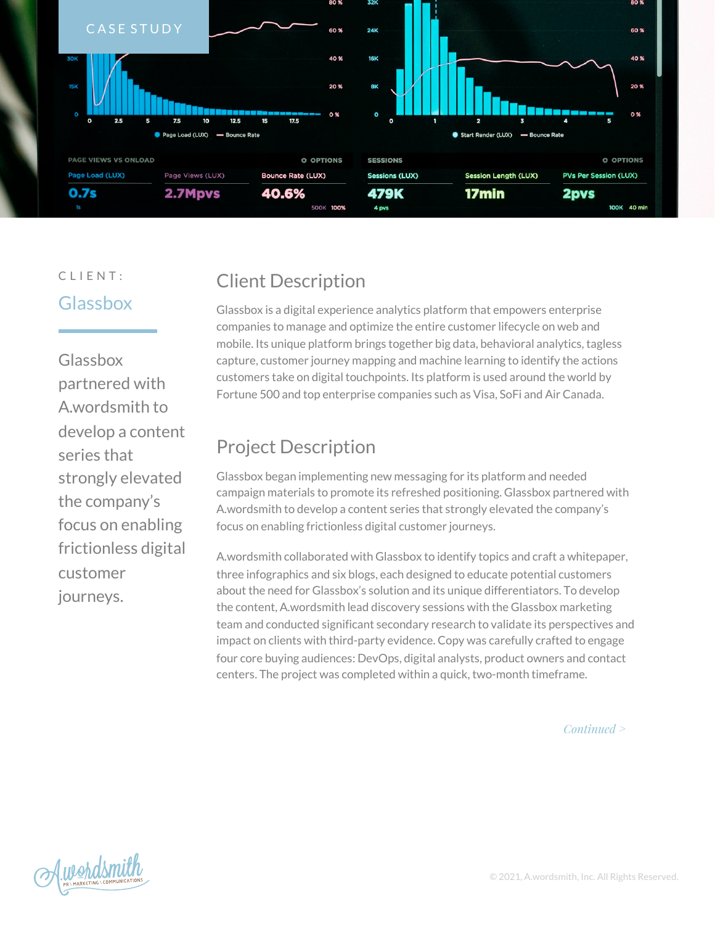

### CLIENT: Glassbox

Glassbox partnered with A.wordsmith to develop a content series that strongly elevated the company's focus on enabling frictionless digital customer journeys.

# Client Description

Glassbox is a digital experience analytics platform that empowers enterprise companies to manage and optimize the entire customer lifecycle on web and mobile. Its unique platform brings together big data, behavioral analytics, tagless capture, customer journey mapping and machine learning to identify the actions customers take on digital touchpoints. Its platform is used around the world by Fortune 500 and top enterprise companies such as Visa, SoFi and Air Canada.

# Project Description

Glassbox began implementing new messaging for its platform and needed campaign materials to promote its refreshed positioning. Glassbox partnered with A.wordsmith to develop a content series that strongly elevated the company's focus on enabling frictionless digital customer journeys.

A.wordsmith collaborated with Glassbox to identify topics and craft a whitepaper, three infographics and six blogs, each designed to educate potential customers about the need for Glassbox's solution and its unique differentiators. To develop the content, A.wordsmith lead discovery sessions with the Glassbox marketing team and conducted significant secondary research to validate its perspectives and impact on clients with third-party evidence. Copy was carefully crafted to engage four core buying audiences: DevOps, digital analysts, product owners and contact centers. The project was completed within a quick, two-month timeframe.

*Continued >*